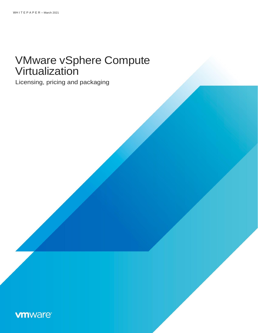# VMware vSphere Compute **Virtualization**

Licensing, pricing and packaging

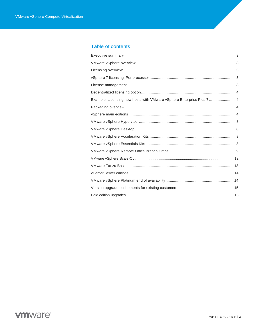### Table of contents

| Executive summary                                                     | 3              |
|-----------------------------------------------------------------------|----------------|
| VMware vSphere overview                                               | 3              |
| Licensing overview                                                    | 3              |
|                                                                       |                |
|                                                                       |                |
|                                                                       |                |
| Example: Licensing new hosts with VMware vSphere Enterprise Plus 7  4 |                |
| Packaging overview                                                    | $\overline{4}$ |
|                                                                       |                |
|                                                                       |                |
|                                                                       |                |
|                                                                       |                |
|                                                                       |                |
|                                                                       |                |
|                                                                       |                |
|                                                                       |                |
|                                                                       |                |
|                                                                       |                |
| Version upgrade entitlements for existing customers                   | 15             |
| Paid edition upgrades                                                 | 15             |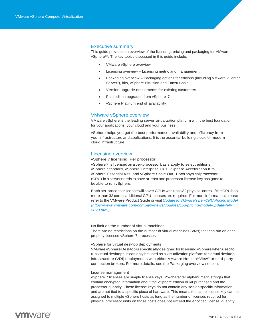### <span id="page-2-0"></span>Executive summary

This guide provides an overview of the licensing, pricing and packaging for VMware vSphere<sup>™</sup>. The key topics discussed in this quide include:

- VMware vSphere overview
- Licensing overview Licensing metric and management
- Packaging overview Packaging options for editions (including VMware vCenter Server®), kits, vSphere Bitfusion and Tanzu Basic
- Version upgrade entitlements for existing customers
- Paid edition upgrades from vSphere 7
- vSphere Platinum end of availability

#### VMware vSphere overview

<span id="page-2-1"></span>VMware vSphere is the leading server virtualization platform with the best foundation for your applications, your cloud and your business.

vSphere helps you get the best performance, availability and efficiency from your infrastructure and applications. It is the essential building block for modern cloud infrastructure.

#### <span id="page-2-2"></span>Licensing overview

<span id="page-2-3"></span>vSphere 7 licensing: Per processor

vSphere 7 islicensedona per-processorbasis apply to select editions: vSphere Standard, vSphere Enterprise Plus, vSphere Acceleration Kits, vSphere Essential Kits, and vSphere Scale Out. Eachphysical processor (CPU) in a server needs to have at least one processorlicense key assigned to be able to run vSphere.

Each per-processorlicense will cover CPUs with up to 32 physical cores. If the CPU has more than 32 cores, additional CPU licenses are required. For more information, please refer to the VMware Product Guide or visit *Update to VMware's per-CPU Pricing Model (https:/[/www.vmware.com/company/news/updates/cpu-pricing-model-update-feb-](http://www.vmware.com/company/news/updates/cpu-pricing-model-update-feb-)2020.html)*

#### No limit on the number of virtual machines

There are no restrictions on the number of virtual machines (VMs) that can run on each properly licensed vSphere 7 processor.

#### vSphere for virtual desktop deployments

VMware vSphere Desktop is specifically designed for licensing vSphere when used to run virtual desktops. It can only be used as a virtualization platform for virtual desktop infrastructure (VDI) deployments with either VMware Horizon® View™ or third-party connection brokers. For more details, see the Packaging overview section.

#### License management

<span id="page-2-4"></span>vSphere 7 licenses are simple license keys (25-character alphanumeric strings) that contain encrypted information about the vSphere edition or kit purchased and the processor quantity. These license keys do not contain any server-specific information and are not tied to a specific piece of hardware. This means the same license key can be assigned to multiple vSphere hosts as long as the number of licenses required for physical processor units on those hosts does not exceed the encoded license quantity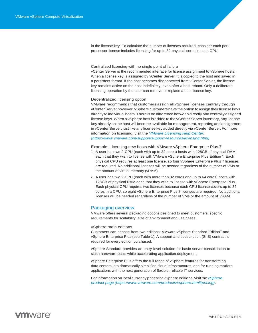in the license key. To calculate the number of licenses required, consider each perprocessor license includes licensing for up to 32 physical cores in each CPU.

Centralized licensing with no single point of failure

vCenter Server is the recommended interface for license assignment to vSphere hosts. When a license key is assigned by vCenter Server, it is copied to the host and saved in a persistent format. If the host becomes disconnected from vCenter Server, the license key remains active on the host indefinitely, even after a host reboot. Only a deliberate licensing operation by the user can remove or replace a host license key.

<span id="page-3-0"></span>Decentralized licensing option

VMware recommends that customers assign all vSphere licenses centrally through vCenter Server however, vSphere customers have the option to assign their license keys directly to individual hosts. There is no difference between directly and centrally assigned license keys. When a vSphere host is added to the vCenter Server inventory, any license key already on the host will become available for management, reporting and assignment in vCenter Server, just like any license key added directly via vCenter Server. For more information on licensing, visit the *VMware Licensing Help Center. (https:/[/www.vmware.com/support/support-resources/licensing.html\)](http://www.vmware.com/support/support-resources/licensing.html))*

<span id="page-3-1"></span>Example: Licensing new hosts with VMware vSphere Enterprise Plus 7

- 1. A user has two 2-CPU (each with up to 32 cores) hosts with 128GB of physical RAM each that they wish to license with VMware vSphere Enterprise Plus Edition™. Each physical CPU requires at least one license, so four vSphere Enterprise Plus 7 licenses are required. No additional licenses will be needed regardless of the number of VMs or the amount of virtual memory (vRAM).
- 2. A user has two 2-CPU (each with more than 32 cores and up to 64 cores) hosts with 128GB of physical RAM each that they wish to license with vSphere Enterprise Plus. Each physical CPU requires two licenses because each CPU license covers up to 32 cores in a CPU, so eight vSphere Enterprise Plus 7 licenses are required. No additional licenses will be needed regardless of the number of VMs or the amount of vRAM.

#### <span id="page-3-2"></span>Packaging overview

VMware offers several packaging options designed to meet customers' specific requirements for scalability, size of environment and use cases.

#### <span id="page-3-3"></span>vSphere main editions

Customers can choose from two editions: VMware vSphere Standard Edition™ and vSphere Enterprise Plus (see Table 1). A support and subscription (SnS) contract is required for every edition purchased.

vSphere Standard provides an entry-level solution for basic server consolidation to slash hardware costs while accelerating application deployment.

vSphere Enterprise Plus offers the full range of vSphere features for transforming data centers into dramatically simplified cloud infrastructures, and for running modern applications with the next generation of flexible, reliable IT services.

For information on local currency prices for vSphere editions, visit the *vSphere product page (https:[//www.vmware.com/products/vsphere.html#pricing\)](http://www.vmware.com/products/vsphere.html#pricing))*.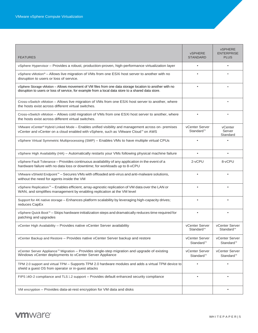| <b>FEATURES</b>                                                                                                                                                                                                | <b>vSPHERE</b><br><b>STANDARD</b>       | <b>vSPHERE</b><br><b>ENTERPRISE</b><br><b>PLUS</b> |
|----------------------------------------------------------------------------------------------------------------------------------------------------------------------------------------------------------------|-----------------------------------------|----------------------------------------------------|
| vSphere Hypervisor - Provides a robust, production-proven, high-performance virtualization layer                                                                                                               | $\bullet$                               | $\bullet$                                          |
| vSphere vMotion® - Allows live migration of VMs from one ESXi host server to another with no<br>disruption to users or loss of service.                                                                        |                                         |                                                    |
| vSphere Storage vMotion - Allows movement of VM files from one data storage location to another with no<br>disruption to users or loss of service, for example from a local data store to a shared data store. | $\bullet$                               | ٠                                                  |
| Cross-vSwitch vMotion – Allows live migration of VMs from one ESXi host server to another, where<br>the hosts exist across different virtual switches.                                                         |                                         | $\bullet$                                          |
| Cross-vSwitch vMotion - Allows cold migration of VMs from one ESXi host server to another, where<br>the hosts exist across different virtual switches.                                                         | $\bullet$                               | $\bullet$                                          |
| VMware vCenter® Hybrid Linked Mode - Enables unified visibility and management across on- premises<br>vCenter and vCenter on a cloud enabled with vSphere, such as VMware Cloud™ on AWS                        | vCenter Server<br>Standard <sup>™</sup> | vCenter<br>Server<br>Standard                      |
| vSphere Virtual Symmetric Multiprocessing (SMP) - Enables VMs to have multiple virtual CPUs                                                                                                                    |                                         |                                                    |
| vSphere High Availability (HA) - Automatically restarts your VMs following physical machine failure                                                                                                            | $\bullet$                               | $\bullet$                                          |
| vSphere Fault Tolerance - Provides continuous availability of any application in the event of a<br>hardware failure with no data loss or downtime; for workloads up to 8-vCPU                                  | 2-vCPU                                  | 8-vCPU                                             |
| VMware vShield Endpoint <sup>™</sup> - Secures VMs with offloaded anti-virus and anti-malware solutions,<br>without the need for agents inside the VM                                                          |                                         |                                                    |
| vSphere Replication™ - Enables efficient, array-agnostic replication of VM data over the LAN or<br>WAN, and simplifies management by enabling replication at the VM level                                      | $\bullet$                               |                                                    |
| Support for 4K native storage - Enhances platform scalability by leveraging high-capacity drives;<br>reduces CapEx                                                                                             |                                         |                                                    |
| vSphere Quick Boot <sup>™</sup> – Skips hardware initialization steps and dramatically reduces time required for<br>patching and upgrades                                                                      | $\bullet$                               | $\bullet$                                          |
| vCenter High Availability - Provides native vCenter Server availability                                                                                                                                        | vCenter Server<br>Standard <sup>™</sup> | vCenter Server<br>Standard <sup>™</sup>            |
| vCenter Backup and Restore - Provides native vCenter Server backup and restore                                                                                                                                 | vCenter Server<br>Standard <sup>™</sup> | vCenter Server<br>Standard <sup>™</sup>            |
| vCenter Server Appliance™ Migration - Provides single-step migration and upgrade of existing<br>Windows vCenter deployments to vCenter Server Appliance                                                        | vCenter Server<br>Standard™             | vCenter Server<br>Standard™                        |
| TPM 2.0 support and virtual TPM - Supports TPM 2.0 hardware modules and adds a virtual TPM device to<br>shield a guest OS from operator or in-guest attacks                                                    |                                         |                                                    |
| FIPS 140-2 compliance and TLS 1.2 support - Provides default enhanced security compliance                                                                                                                      |                                         |                                                    |
| VM encryption – Provides data-at-rest encryption for VM data and disks                                                                                                                                         |                                         | $\bullet$                                          |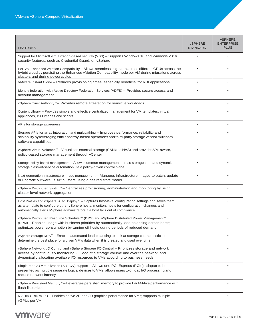| <b>FEATURES</b>                                                                                                                                                                                                                                                                                      | <b>vSPHERE</b><br><b>STANDARD</b> | <b>vSPHERE</b><br><b>ENTERPRISE</b><br><b>PLUS</b> |
|------------------------------------------------------------------------------------------------------------------------------------------------------------------------------------------------------------------------------------------------------------------------------------------------------|-----------------------------------|----------------------------------------------------|
| Support for Microsoft virtualization-based security (VBS) - Supports Windows 10 and Windows 2016<br>security features, such as Credential Guard, on vSphere                                                                                                                                          |                                   |                                                    |
| Per-VM Enhanced vMotion Compatibility - Allows seamless migration across different CPUs across the<br>hybrid cloud by persisting the Enhanced vMotion Compatibility mode per VM during migrations across<br>clusters and during powercycles                                                          |                                   |                                                    |
| VMware Instant Clone - Reduces provisioning times, especially beneficial for VDI applications                                                                                                                                                                                                        |                                   |                                                    |
| Identity federation with Active Directory Federation Services (ADFS) - Provides secure access and<br>account management                                                                                                                                                                              |                                   |                                                    |
| vSphere Trust Authority <sup>™</sup> – Provides remote attestation for sensitive workloads                                                                                                                                                                                                           |                                   |                                                    |
| Content Library - Provides simple and effective centralized management for VM templates, virtual<br>appliances, ISO images and scripts                                                                                                                                                               |                                   |                                                    |
| APIs for storage awareness                                                                                                                                                                                                                                                                           |                                   |                                                    |
| Storage APIs for array integration and multipathing - Improves performance, reliability and<br>scalability by leveraging efficient array-based operations and third-party storage vendor multipath<br>software capabilities                                                                          |                                   |                                                    |
| vSphere Virtual Volumes™ - Virtualizes external storage (SAN and NAS) and provides VM-aware,<br>policy-based storage management through vCenter                                                                                                                                                      |                                   |                                                    |
| Storage policy-based management - Allows common management across storage tiers and dynamic<br>storage class-of-service automation via a policy-driven control plane                                                                                                                                 |                                   |                                                    |
| Next-generation infrastructure image management - Manages infrastructure images to patch, update<br>or upgrade VMware ESXi <sup>™</sup> clusters using a desired state model                                                                                                                         |                                   |                                                    |
| vSphere Distributed Switch <sup>™</sup> - Centralizes provisioning, administration and monitoring by using<br>cluster-level network aggregation                                                                                                                                                      |                                   |                                                    |
| Host Profiles and vSphere Auto Deploy <sup>™</sup> – Captures host-level configuration settings and saves them<br>as a template to configure other vSphere hosts; monitors hosts for configuration changes and<br>automatically alerts vSphere administrators if a host falls out of compliance      |                                   |                                                    |
| vSphere Distributed Resource Scheduler <sup>™</sup> (DRS) and vSphere Distributed Power Management <sup>™</sup><br>(DPM) - Enables usage with business priorities by automatically load balancing across hosts;<br>optimizes power consumption by turning off hosts during periods of reduced demand |                                   |                                                    |
| vSphere Storage DRS <sup>™</sup> - Enables automated load balancing to look at storage characteristics to<br>determine the best place for a given VM's data when it is created and used over time                                                                                                    |                                   |                                                    |
| vSphere Network I/O Control and vSphere Storage I/O Control - Prioritizes storage and network<br>access by continuously monitoring I/O load of a storage volume and over the network, and<br>dynamically allocating available I/O resources to VMs according to business needs                       |                                   |                                                    |
| Single root I/O virtualization (SR-IOV) support - Allows one PCI Express (PCIe) adapter to be<br>presented as multiple separate logical devices to VMs; allows users to offload I/O processing and<br>reduce network latency                                                                         |                                   |                                                    |
| vSphere Persistent Memory™ - Leverages persistent memory to provide DRAM-like performance with<br>flash-like prices                                                                                                                                                                                  |                                   |                                                    |
| NVIDIA GRID vGPU - Enables native 2D and 3D graphics performance for VMs; supports multiple<br>vGPUs per VM                                                                                                                                                                                          |                                   |                                                    |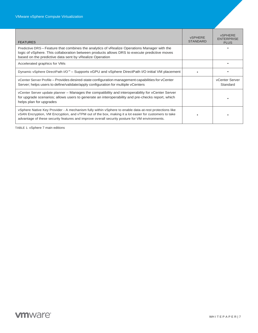| <b>FEATURES</b>                                                                                                                                                                                                                                                                                                   | <b>vSPHERE</b><br><b>STANDARD</b> | <b>VSPHFRF</b><br><b>ENTERPRISE</b><br><b>PLUS</b> |
|-------------------------------------------------------------------------------------------------------------------------------------------------------------------------------------------------------------------------------------------------------------------------------------------------------------------|-----------------------------------|----------------------------------------------------|
| Predictive DRS – Feature that combines the analytics of vRealize Operations Manager with the<br>logic of vSphere. This collaboration between products allows DRS to execute predictive moves<br>based on the predictive data sent by vRealize Operation                                                           |                                   |                                                    |
| Accelerated graphics for VMs                                                                                                                                                                                                                                                                                      |                                   |                                                    |
| Dynamic vSphere DirectPath I/O™ – Supports vGPU and vSphere DirectPath I/O initial VM placement                                                                                                                                                                                                                   |                                   |                                                    |
| vCenter Server Profile – Provides desired-state configuration management capabilities for vCenter<br>Server; helps users to define/validate/apply configuration for multiple vCenters                                                                                                                             |                                   | vCenter Server<br>Standard                         |
| vCenter Server update planner - Manages the compatibility and interoperability for vCenter Server<br>for upgrade scenarios; allows users to generate an interoperability and pre-checks report, which<br>helps plan for upgrades                                                                                  |                                   |                                                    |
| vSphere Native Key Provider - A mechanism fully within vSphere to enable data-at-rest protections like<br>vSAN Encryption, VM Encryption, and vTPM out of the box, making it a lot easier for customers to take<br>advantage of these security features and improve overall security posture for VM environments. |                                   |                                                    |

TABLE 1. vSphere 7 main editions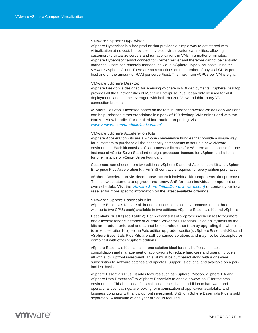#### VMware vSphere Hypervisor

<span id="page-7-0"></span>vSphere Hypervisor is a free product that provides a simple way to get started with virtualization at no cost. It provides only basic virtualization capabilities, allowing customers to virtualize servers and run applications in VMs in a matter of minutes. vSphere Hypervisor cannot connect to vCenter Server and therefore cannot be centrally managed. Users can remotely manage individual vSphere Hypervisor hosts using the VMware vSphere Client. There are no restrictions on the number of physical CPUs per host and on the amount of RAM per server/host. The maximum vCPUs per VM is eight.

#### VMware vSphere Desktop

<span id="page-7-1"></span>vSphere Desktop is designed for licensing vSphere in VDI deployments. vSphere Desktop provides all the functionalities of vSphere Enterprise Plus. It can only be used for VDI deployments and can be leveraged with both Horizon View and third-party VDI connection brokers.

vSphere Desktop is licensed based on the total number of powered-on desktop VMs and can be purchased either standalone in a pack of 100 desktop VMs or included with the Horizon View bundle. For detailed information on pricing, visit *[www.vmware.com/products/horizon.html](http://www.vmware.com/products/horizon.html)*

#### VMware vSphere Acceleration Kits

<span id="page-7-2"></span>vSphere Acceleration Kits are all-in-one convenience bundles that provide a simple way for customers to purchase all the necessary components to set up a new VMware environment. Each kit consists of six processor licenses for vSphere and a license for one instance of vCenter Server Standard or eight processor licenses for vSphere and a license for one instance of vCenter Server Foundation.

Customers can choose from two editions: vSphere Standard Acceleration Kit and vSphere Enterprise Plus Acceleration Kit. An SnS contract is required for every edition purchased.

vSphere Acceleration Kits decompose into theirindividual kit components after purchase. This allows customers to upgrade and renew SnS for each individual component on its own schedule. Visit the *VMware Store (https://store.vmware.com)* or contact your local reseller for more specific information on the latest available offerings.

#### VMware vSphere Essentials Kits

<span id="page-7-3"></span>vSphere Essentials Kits are all-in-one solutions for small environments (up to three hosts with up to two CPUs each) available in two editions: vSphere Essentials Kit and vSphere

Essentials Plus Kit (see Table 2). Each kit consists of six processor licenses for vSphere and a license for one instance of vCenter Server for Essentials™. Scalability limits for the kits are product-enforced and cannot be extended other than by upgrading the whole kit to an Acceleration Kit (see the Paid edition upgrades section). vSphere Essentials Kits and vSphere Essentials Plus Kits are self-contained solutions and may not be decoupled or combined with other vSphere editions.

vSphere Essentials Kit is an all-in-one solution ideal for small offices. It enables consolidation and management of applications to reduce hardware and operating costs, all with a low upfront investment. This kit must be purchased along with a one-year subscription to software patches and updates. Support is optional and available on a perincident basis.

vSphere Essentials Plus Kit adds features such as vSphere vMotion, vSphere HA and vSphere Data Protection™ to vSphere Essentials to enable always-on IT for the small environment. This kit is ideal for small businesses that, in addition to hardware and operational cost savings, are looking for maximization of application availability and business continuity with a low upfront investment. SnS for vSphere Essentials Plus is sold separately. A minimum of one year of SnS is required.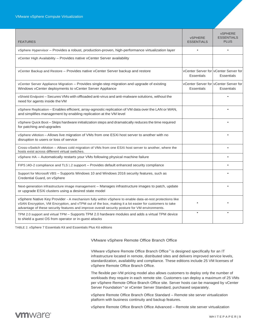| <b>FEATURES</b>                                                                                                                                                                                                                                                                                                   | <b>vSPHERE</b><br><b>ESSENTIALS</b> | <b>vSPHERE</b><br><b>ESSENTIALS</b><br><b>PLUS</b>         |
|-------------------------------------------------------------------------------------------------------------------------------------------------------------------------------------------------------------------------------------------------------------------------------------------------------------------|-------------------------------------|------------------------------------------------------------|
| vSphere Hypervisor - Provides a robust, production-proven, high-performance virtualization layer                                                                                                                                                                                                                  |                                     |                                                            |
| vCenter High Availability - Provides native vCenter Server availability                                                                                                                                                                                                                                           |                                     |                                                            |
| vCenter Backup and Restore - Provides native vCenter Server backup and restore                                                                                                                                                                                                                                    | <b>Essentials</b>                   | vCenter Server for vCenter Server for<br><b>Essentials</b> |
| vCenter Server Appliance Migration - Provides single-step migration and upgrade of existing<br>Windows vCenter deployments to vCenter Server Appliance                                                                                                                                                            | Essentials                          | vCenter Server for vCenter Server for<br><b>Essentials</b> |
| vShield Endpoint - Secures VMs with offloaded anti-virus and anti-malware solutions, without the<br>need for agents inside the VM                                                                                                                                                                                 |                                     |                                                            |
| vSphere Replication - Enables efficient, array-agnostic replication of VM data over the LAN or WAN,<br>and simplifies management by enabling replication at the VM level                                                                                                                                          |                                     |                                                            |
| vSphere Quick Boot - Skips hardware initialization steps and dramatically reduces the time required<br>for patching and upgrades                                                                                                                                                                                  |                                     |                                                            |
| vSphere vMotion – Allows live migration of VMs from one ESXi host server to another with no<br>disruption to users or loss of service                                                                                                                                                                             |                                     |                                                            |
| Cross-vSwitch vMotion - Allows cold migration of VMs from one ESXi host server to another, where the<br>hosts exist across different virtual switches.                                                                                                                                                            |                                     |                                                            |
| vSphere HA - Automatically restarts your VMs following physical machine failure                                                                                                                                                                                                                                   |                                     |                                                            |
| FIPS 140-2 compliance and TLS 1.2 support - Provides default enhanced security compliance                                                                                                                                                                                                                         |                                     |                                                            |
| Support for Microsoft VBS - Supports Windows 10 and Windows 2016 security features, such as<br>Credential Guard, on vSphere                                                                                                                                                                                       |                                     |                                                            |
| Next-generation infrastructure image management - Manages infrastructure images to patch, update<br>or upgrade ESXi clusters using a desired state model                                                                                                                                                          |                                     |                                                            |
| vSphere Native Key Provider - A mechanism fully within vSphere to enable data-at-rest protections like<br>vSAN Encryption, VM Encryption, and vTPM out of the box, making it a lot easier for customers to take<br>advantage of these security features and improve overall security posture for VM environments. |                                     |                                                            |
| TPM 2.0 support and virtual TPM - Supports TPM 2.0 hardware modules and adds a virtual TPM device<br>to shield a quest OS from operator or in-quest attacks                                                                                                                                                       |                                     |                                                            |

<span id="page-8-0"></span>TABLE 2. vSphere 7 Essentials Kit and Essentials Plus Kit editions

### VMware vSphere Remote Office Branch Office

VMware vSphere Remote Office Branch Office™ is designed specifically for an IT infrastructure located in remote, distributed sites and delivers improved service levels, standardization, availability and compliance. These editions include 25 VM licenses of vSphere Remote Office Branch Office.

The flexible per-VM pricing model also allows customers to deploy only the number of workloads they require in each remote site. Customers can deploy a maximum of 25 VMs per vSphere Remote Office Branch Office site. Server hosts can be managed by vCenter Server Foundation<sup>™</sup> or vCenter Server Standard, purchased separately.

vSphere Remote Office Branch Office Standard – Remote site server virtualization platform with business continuity and backup features.

vSphere Remote Office Branch Office Advanced – Remote site server virtualization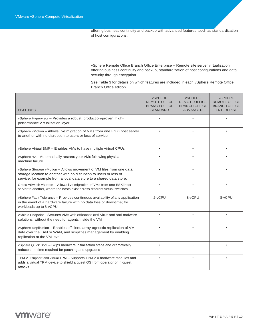offering business continuity and backup with advanced features, such as standardization of host configurations.

vSphere Remote Office Branch Office Enterprise – Remote site server virtualization offering business continuity and backup, standardization of host configurations and data security through encryption.

See Table 3 for details on which features are included in each vSphere Remote Office Branch Office edition.

| <b>FEATURES</b>                                                                                                                                                                                                   | <b>vSPHERE</b><br><b>REMOTE OFFICE</b><br><b>BRANCH OFFICE</b><br><b>STANDARD</b> | <b>vSPHERE</b><br><b>REMOTE OFFICE</b><br><b>BRANCH OFFICE</b><br><b>ADVANCED</b> | <b>vSPHERE</b><br><b>REMOTE OFFICE</b><br><b>BRANCH OFFICE</b><br><b>ENTERPRISE</b> |
|-------------------------------------------------------------------------------------------------------------------------------------------------------------------------------------------------------------------|-----------------------------------------------------------------------------------|-----------------------------------------------------------------------------------|-------------------------------------------------------------------------------------|
| vSphere Hypervisor - Provides a robust, production-proven, high-<br>performance virtualization layer                                                                                                              |                                                                                   | ٠                                                                                 | ٠                                                                                   |
| vSphere vMotion - Allows live migration of VMs from one ESXi host server<br>to another with no disruption to users or loss of service                                                                             |                                                                                   |                                                                                   |                                                                                     |
| vSphere Virtual SMP - Enables VMs to have multiple virtual CPUs                                                                                                                                                   | $\bullet$                                                                         |                                                                                   |                                                                                     |
| vSphere HA – Automatically restarts your VMs following physical<br>machine failure                                                                                                                                |                                                                                   |                                                                                   |                                                                                     |
| vSphere Storage vMotion - Allows movement of VM files from one data<br>storage location to another with no disruption to users or loss of<br>service, for example from a local data store to a shared data store. |                                                                                   |                                                                                   |                                                                                     |
| Cross-vSwitch vMotion - Allows live migration of VMs from one ESXi host<br>server to another, where the hosts exist across different virtual switches.                                                            |                                                                                   |                                                                                   |                                                                                     |
| vSphere Fault Tolerance - Provides continuous availability of any application<br>in the event of a hardware failure with no data loss or downtime; for<br>workloads up to 8-vCPU                                  | 2-vCPU                                                                            | 8-vCPU                                                                            | 8-vCPU                                                                              |
| vShield Endpoint - Secures VMs with offloaded anti-virus and anti-malware<br>solutions, without the need for agents inside the VM                                                                                 |                                                                                   |                                                                                   |                                                                                     |
| vSphere Replication - Enables efficient, array-agnostic replication of VM<br>data over the LAN or WAN, and simplifies management by enabling<br>replication at the VM level                                       |                                                                                   |                                                                                   |                                                                                     |
| vSphere Quick Boot - Skips hardware initialization steps and dramatically<br>reduces the time required for patching and upgrades                                                                                  |                                                                                   |                                                                                   |                                                                                     |
| TPM 2.0 support and virtual TPM - Supports TPM 2.0 hardware modules and<br>adds a virtual TPM device to shield a guest OS from operator or in-guest<br>attacks                                                    |                                                                                   |                                                                                   |                                                                                     |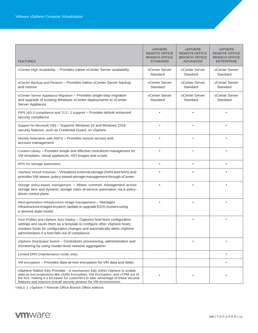| <b>FEATURES</b>                                                                                                                                                                                                                                                                                                      | <b>vSPHERE</b><br><b>REMOTE OFFICE</b><br><b>BRANCH OFFICE</b><br><b>STANDARD</b> | <b>vSPHERE</b><br>REMOTE OFFICE<br><b>BRANCH OFFICE</b><br><b>ADVANCED</b> | <b>vSPHERE</b><br><b>REMOTE OFFICE</b><br><b>BRANCH OFFICE</b><br><b>ENTERPRISE</b> |
|----------------------------------------------------------------------------------------------------------------------------------------------------------------------------------------------------------------------------------------------------------------------------------------------------------------------|-----------------------------------------------------------------------------------|----------------------------------------------------------------------------|-------------------------------------------------------------------------------------|
| vCenter High Availability - Provides native vCenter Server availability                                                                                                                                                                                                                                              | vCenter Server<br>Standard                                                        | vCenter Server<br>Standard                                                 | vCenter Server<br>Standard                                                          |
| vCenter Backup and Restore - Provides native vCenter Server backup<br>and restore                                                                                                                                                                                                                                    | vCenter Server<br>Standard                                                        | vCenter Server<br>Standard                                                 | vCenter Server<br>Standard                                                          |
| vCenter Server Appliance Migration - Provides single-step migration<br>and upgrade of existing Windows vCenter deployments to vCenter<br>Server Appliance                                                                                                                                                            | vCenter Server<br>Standard                                                        | vCenter Server<br>Standard                                                 | vCenter Server<br>Standard                                                          |
| FIPS 140-2 compliance and TLS 1.2 support - Provides default enhanced<br>security compliance                                                                                                                                                                                                                         |                                                                                   |                                                                            |                                                                                     |
| Support for Microsoft VBS - Supports Windows 10 and Windows 2016<br>security features, such as Credential Guard, on vSphere                                                                                                                                                                                          |                                                                                   |                                                                            |                                                                                     |
| Identity federation with ADFS - Provides secure access and<br>account management                                                                                                                                                                                                                                     |                                                                                   |                                                                            |                                                                                     |
| Content Library - Provides simple and effective centralized management for<br>VM templates, virtual appliances, ISO images and scripts                                                                                                                                                                               |                                                                                   |                                                                            |                                                                                     |
| APIs for storage awareness                                                                                                                                                                                                                                                                                           |                                                                                   |                                                                            |                                                                                     |
| vSphere Virtual Volumes - Virtualizes external storage (SAN and NAS) and<br>provides VM-aware, policy-based storage management through vCenter                                                                                                                                                                       |                                                                                   |                                                                            |                                                                                     |
| Storage policy-based management - Allows common management across<br>storage tiers and dynamic storage class-of-service automation via a policy-<br>driven control plane                                                                                                                                             |                                                                                   |                                                                            |                                                                                     |
| Next-generation infrastructure image management - Manages<br>infrastructure images to patch, update or upgrade ESXi clusters using<br>a desired state model                                                                                                                                                          |                                                                                   |                                                                            |                                                                                     |
| Host Profiles and vSphere Auto Deploy - Captures host-level configuration<br>settings and saves them as a template to configure other vSphere hosts;<br>monitors hosts for configuration changes and automatically alerts vSphere<br>administrators if a host falls out of compliance                                |                                                                                   |                                                                            |                                                                                     |
| vSphere Distributed Switch - Centralizes provisioning, administration and<br>monitoring by using cluster-level network aggregation                                                                                                                                                                                   |                                                                                   |                                                                            |                                                                                     |
| Limited DRS (maintenance mode only)                                                                                                                                                                                                                                                                                  |                                                                                   |                                                                            | $\bullet$                                                                           |
| VM encryption - Provides data-at-rest encryption for VM data and disks                                                                                                                                                                                                                                               |                                                                                   |                                                                            | ٠                                                                                   |
| vSphere Native Key Provider - A mechanism fully within vSphere to enable<br>data-at-rest protections like vSAN Encryption, VM Encryption, and vTPM out of<br>the box, making it a lot easier for customers to take advantage of these security<br>features and improve overall security posture for VM environments. |                                                                                   |                                                                            |                                                                                     |

TABLE 3. vSphere 7 Remote Office Branch Office editions

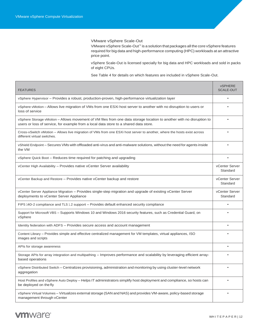VMware vSphere Scale-Out

VMware vSphere Scale-Out™ is a solution that packages all the core vSphere features required for big data and high-performance computing (HPC) workloads at an attractive price point.

vSphere Scale-Out is licensed specially for big data and HPC workloads and sold in packs of eight CPUs.

See Table 4 for details on which features are included in vSphere Scale-Out.

<span id="page-11-0"></span>

| <b>FEATURES</b>                                                                                                                                                                                                | <b>vSPHERE</b><br><b>SCALE-OUT</b> |
|----------------------------------------------------------------------------------------------------------------------------------------------------------------------------------------------------------------|------------------------------------|
| vSphere Hypervisor - Provides a robust, production-proven, high-performance virtualization layer                                                                                                               |                                    |
| vSphere vMotion – Allows live migration of VMs from one ESXi host server to another with no disruption to users or<br>loss of service                                                                          |                                    |
| vSphere Storage vMotion - Allows movement of VM files from one data storage location to another with no disruption to<br>users or loss of service, for example from a local data store to a shared data store. |                                    |
| Cross-vSwitch vMotion – Allows live migration of VMs from one ESXi host server to another, where the hosts exist across<br>different virtual switches.                                                         |                                    |
| vShield Endpoint – Secures VMs with offloaded anti-virus and anti-malware solutions, without the need for agents inside<br>the VM                                                                              |                                    |
| vSphere Quick Boot - Reduces time required for patching and upgrading                                                                                                                                          |                                    |
| vCenter High Availability – Provides native vCenter Server availability                                                                                                                                        | vCenter Server<br>Standard         |
| vCenter Backup and Restore – Provides native vCenter backup and restore                                                                                                                                        | vCenter Server<br>Standard         |
| vCenter Server Appliance Migration – Provides single-step migration and upgrade of existing vCenter Server<br>deployments to vCenter Server Appliance                                                          | vCenter Server<br>Standard         |
| FIPS 140-2 compliance and TLS 1.2 support - Provides default enhanced security compliance                                                                                                                      |                                    |
| Support for Microsoft VBS – Supports Windows 10 and Windows 2016 security features, such as Credential Guard, on<br>vSphere                                                                                    |                                    |
| Identity federation with ADFS - Provides secure access and account management                                                                                                                                  |                                    |
| Content Library – Provides simple and effective centralized management for VM templates, virtual appliances, ISO<br>images and scripts                                                                         |                                    |
| APIs for storage awareness                                                                                                                                                                                     |                                    |
| Storage APIs for array integration and multipathing – Improves performance and scalability by leveraging efficient array-<br>based operations                                                                  |                                    |
| vSphere Distributed Switch – Centralizes provisioning, administration and monitoring by using cluster-level network<br>aggregation                                                                             |                                    |
| Host Profiles and vSphere Auto Deploy – Helps IT administrators simplify host deployment and compliance, so hosts can<br>be deployed on the fly                                                                |                                    |
| vSphere Virtual Volumes – Virtualizes external storage (SAN and NAS) and provides VM-aware, policy-based storage<br>management through vCenter                                                                 |                                    |

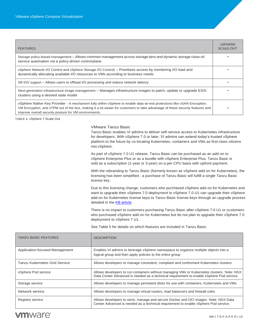| <b>FEATURES</b>                                                                                                                                                                                                                                                                                                   | <b>vSPHERE</b><br>SCALE-OUT |
|-------------------------------------------------------------------------------------------------------------------------------------------------------------------------------------------------------------------------------------------------------------------------------------------------------------------|-----------------------------|
| Storage policy-based management - Allows common management across storage tiers and dynamic storage class-of-<br>service automation via a policy-driven control plane                                                                                                                                             |                             |
| vSphere Network I/O Control and vSphere Storage I/O Control) – Prioritizes access by monitoring I/O load and<br>dynamically allocating available I/O resources to VMs according to business needs                                                                                                                 |                             |
| SR-IOV support – Allows users to offload I/O processing and reduce network latency                                                                                                                                                                                                                                |                             |
| Next-generation infrastructure image management – Manages infrastructure images to patch, update or upgrade ESXi<br>clusters using a desired state model                                                                                                                                                          |                             |
| vSphere Native Key Provider - A mechanism fully within vSphere to enable data-at-rest protections like vSAN Encryption,<br>VM Encryption, and vTPM out of the box, making it a lot easier for customers to take advantage of these security features and<br>improve overall security posture for VM environments. |                             |

<span id="page-12-0"></span>TABLE 4. vSphere 7 Scale-Out

### VMware Tanzu Basic

Tanzu Basic enables VI admins to deliver self-service access to Kubernetes infrastructure for developers. With vSphere 7.0 or later, VI admins can extend today's trusted vSphere platform to the future by co-locating Kubernetes, containers and VMs as first-class citizens into vSphere.

As part of vSphere 7.0 U1 release, Tanzu Basic can be purchased as an add-on to vSphere Enterprise Plus or as a bundle with vSphere Enterprise Plus. Tanzu Basic is sold as a subscription (1-year or 3-year) on a per-CPU basis with upfront payment.

With the rebranding to Tanzu Basic (formerly known as vSphere add-on for Kubernetes), the licensing has been simplified - a purchase of Tanzu Basic will fulfill a single Tanzu Basic license key.

Due to this licensing change, customers who purchased vSphere add-on for Kubernetes and want to upgrade their vSphere 7.0 deployment to vSphere 7.0 U1 can upgrade their vSphere add-on for Kubernetes license keys to Tanzu Basic license keys through an upgrade process detailed in the [KB article.](https://kb.vmware.com/s/article/80868)

There is no impact to customers purchasing Tanzu Basic after vSphere 7.0 U1 or customers who purchased vSphere add-on for Kubernetes but do not plan to upgrade their vSphere 7.0 deployment to vSphere 7 U1.

| TANZU BASIC FEATURES           | <b>DESCRIPTION</b>                                                                                                                                                                     |
|--------------------------------|----------------------------------------------------------------------------------------------------------------------------------------------------------------------------------------|
| Application-focused Management | Enables VI admins to leverage vSphere namespace to organize multiple objects into a<br>logical group and then apply policies to the entire group                                       |
| Tanzu Kubernetes Grid Service  | Allows developers to manage consistent, compliant and conformant Kubernetes clusters.                                                                                                  |
| vSphere Pod service            | Allows developers to run containers without managing VMs or Kubernetes clusters. Note: NSX<br>Data Center Advanced is needed as a technical requirement to enable vSphere Pod service. |
| Storage service                | Allows developers to manage persistent disks for use with containers, Kubernetes and VMs                                                                                               |
| Network service                | Allows developers to manage virtual routers, load balancers and firewall rules                                                                                                         |
| Registry service               | Allows developers to store, manage and secure Docker and OCI images. Note: NSX Data<br>Center Advanced is needed as a technical requirement to enable vSphere Pod service.             |

See Table 5 for details on which features are included in Tanzu Basic.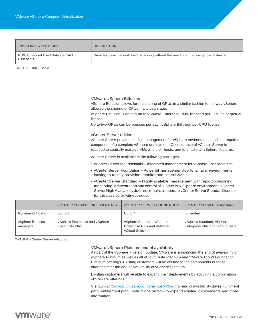| <b>TANZU BASIC FEATURES</b>                    | <b>DESCRIPTION</b>                                                                     |
|------------------------------------------------|----------------------------------------------------------------------------------------|
| NSX Advanced Load Balancer (ALB)<br>Essentials | Provides basic network load balancing without the need of a third-party load balancer. |

<span id="page-13-0"></span>TABLE 5. Tanzu Basic

VMware vSphere Bitfusion

vSphere Bitfusion allows for the sharing of GPUs in a similar fashion to the way vSphere allowed the sharing of CPUs many years ago.

vSphere Bitfusion is an add-on to vSphere Enterprise Plus, licensed per-CPU as perpetual license

Up to two-GPUs can be licenses per each vSphere Bitfusion per-CPU license.

vCenter Server editions

vCenter Server provides unified management for vSphere environments and is a required component of a complete vSphere deployment. One instance of vCenter Server is required to centrally manage VMs and their hosts, and to enable all vSphere features.

vCenter Server is available in the following packages:

- vCenter Server for Essentials Integrated management for vSphere Essentials Kits.
- vCenter Server Foundation Powerful management tool for smaller environments looking to rapidly provision, monitor and controlVMs.
- vCenter Server Standard Highly scalable management with rapid provisioning, monitoring, orchestration and control of all VMs in a vSphere environment. vCenter Server High Availability does not require a separate vCenter Server Standard license for the passive or witness node.

|                             | <b>VCENTER SERVER FOR ESSENTIALS</b>                     | <b>VCENTER SERVER FOUNDATION</b>                                         | <b>VCENTER SERVER STANDARD</b>                                |
|-----------------------------|----------------------------------------------------------|--------------------------------------------------------------------------|---------------------------------------------------------------|
| Number of hosts             | Up to $3$                                                | Up to $4$                                                                | Unlimited                                                     |
| vSphere licenses<br>managed | vSphere Essentials and vSphere<br><b>Essentials Plus</b> | vSphere Standard, vSphere<br>Enterprise Plus and VMware<br>vCloud Suite® | vSphere Standard, vSphere<br>Enterprise Plus and vCloud Suite |

<span id="page-13-1"></span>TABLE 6. vCenter Server editions.

VMware vSphere Platinum end of availability

As part of the vSphere 7 version update, VMware is announcing the end of availability of vSphere Platinum as well as all vCloud Suite Platinum and VMware Cloud Foundation Platinum offerings. Existing customers will be entitled to the components of these offerings after the end of availability of vSphere Platinum.

Existing customers will be able to expand their deployments by acquiring a combination of VMware offerings.

Visit *Link (https://kb.vmware.com/s/article/77536)* for end of availability dates, fulfilment path, entitlement plan, instructions on how to expand existing deployments and more information.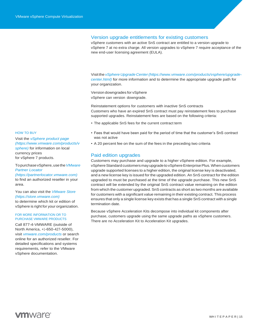### Version upgrade entitlements for existing customers

vSphere customers with an active SnS contract are entitled to a version upgrade to vSphere 7 at no extra charge. All version upgrades to vSphere 7 require acceptance of the new end-user licensing agreement (EULA).

Visit the *vSphere Upgrade Center(https:[//www.vmware.com/products/vsphere/upgrade](http://www.vmware.com/products/vsphere/upgrade-)center.html)* for more information and to determine the appropriate upgrade path for your organization.

Version downgrades for vSphere vSphere can version downgrade.

Reinstatement options for customers with inactive SnS contracts Customers who have an expired SnS contract must pay reinstatement fees to purchase supported upgrades. Reinstatement fees are based on the following criteria:

- The applicable SnS fees for the current contract term
- Fees that would have been paid for the period of time that the customer's SnS contract was not active
- A 20 percent fee on the sum of the fees in the preceding two criteria

### <span id="page-14-0"></span>Paid edition upgrades

Customers may purchase and upgrade to a higher vSphere edition. For example, vSphere Standard customers may upgrade to vSphere Enterprise Plus. When customers upgrade supported licenses to a higher edition, the original license key is deactivated, and a new license key is issued for the upgraded edition. An SnS contract for the edition upgraded to must be purchased at the time of the upgrade purchase. This new SnS contract will be extended by the original SnS contract value remaining on the edition from which the customer upgraded. SnS contracts as short as two months are available for customers with a significant value remaining in their existing contract. This process ensures that only a single license key exists that has a single SnS contract with a single termination date.

Because vSphere Acceleration Kits decompose into individual kit components after purchase, customers upgrade using the same upgrade paths as vSphere customers. There are no Acceleration Kit to Acceleration Kit upgrades.

#### HOW TO BUY

Visit the *vSphere product page (https:/[/www.vmware.com/products/v](http://www.vmware.com/products/v) sphere)* for information on local currency prices for vSphere 7 products.

TopurchasevSphere,usethe*VMware Partner Locator* 

*(https://partnerlocator.vmware.com)*  to find an authorized reseller in your area.

You can also visit the *VMware Store (https://store.vmware.com)* to determine which kit or edition of vSphere is right for your organization.

#### FOR MORE INFORMATION OR TO PURCHASE VMWARE PRODUCTS

Call 877-4-VMWARE (outside of North America, +1-650-427-5000), visit *vmware.com/products* or search online for an authorized reseller. For detailed specifications and systems requirements, refer to the VMware vSphere documentation.